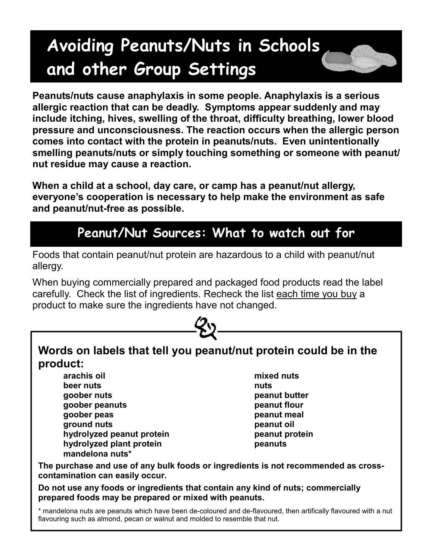# **Avoiding Peanuts/Nuts in Schools and other Group Settings**



**When a child at a school, day care, or camp has a peanut/nut allergy, everyone's cooperation is necessary to help make the environment as safe and peanut/nut-free as possible.**

## **Peanut/Nut Sources: What to watch out for**

Foods that contain peanut/nut protein are hazardous to a child with peanut/nut allergy.

When buying commercially prepared and packaged food products read the label carefully. Check the list of ingredients. Recheck the list each time you buy a product to make sure the ingredients have not changed.



**beer nuts** nuts **nuts goober nuts good and the peanut butter peanut butter goober peanuts peanut flour goober peas peanut meal ground nuts** peanut oil **hydrolyzed peanut protein peanut protein peanut protein hydrolyzed plant protein peanuts mandelona nuts\*** 

**The purchase and use of any bulk foods or ingredients is not recommended as crosscontamination can easily occur.** 

**Do not use any foods or ingredients that contain any kind of nuts; commercially prepared foods may be prepared or mixed with peanuts.** 

\* mandelona nuts are peanuts which have been de-coloured and de-flavoured, then artifically flavoured with a nut flavouring such as almond, pecan or walnut and molded to resemble that nut.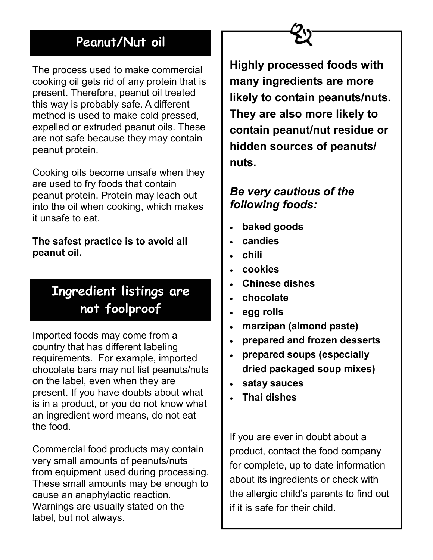## **Peanut/Nut oil**

The process used to make commercial cooking oil gets rid of any protein that is present. Therefore, peanut oil treated this way is probably safe. A different method is used to make cold pressed, expelled or extruded peanut oils. These are not safe because they may contain peanut protein.

Cooking oils become unsafe when they are used to fry foods that contain peanut protein. Protein may leach out into the oil when cooking, which makes it unsafe to eat.

**The safest practice is to avoid all peanut oil.**

## **Ingredient listings are not foolproof**

Imported foods may come from a country that has different labeling requirements. For example, imported chocolate bars may not list peanuts/nuts on the label, even when they are present. If you have doubts about what is in a product, or you do not know what an ingredient word means, do not eat the food.

Commercial food products may contain very small amounts of peanuts/nuts from equipment used during processing. These small amounts may be enough to cause an anaphylactic reaction*.* Warnings are usually stated on the label, but not always.

**Highly processed foods with many ingredients are more likely to contain peanuts/nuts. They are also more likely to contain peanut/nut residue or hidden sources of peanuts/ nuts.**

### *Be very cautious of the following foods:*

- **baked goods**
- **candies**
- **chili**
- **cookies**
- **Chinese dishes**
- **chocolate**
- **egg rolls**
- **marzipan (almond paste)**
- **prepared and frozen desserts**
- **prepared soups (especially dried packaged soup mixes)**
- **satay sauces**
- **Thai dishes**

If you are ever in doubt about a product, contact the food company for complete, up to date information about its ingredients or check with the allergic child's parents to find out if it is safe for their child.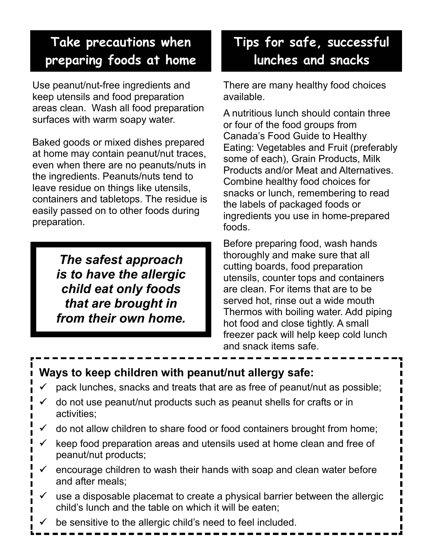## **Take precautions when preparing foods at home**

Use peanut/nut-free ingredients and keep utensils and food preparation areas clean. Wash all food preparation surfaces with warm soapy water.

Baked goods or mixed dishes prepared at home may contain peanut/nut traces, even when there are no peanuts/nuts in the ingredients. Peanuts/nuts tend to leave residue on things like utensils, containers and tabletops. The residue is easily passed on to other foods during preparation.

> *The safest approach is to have the allergic child eat only foods that are brought in from their own home.*

## **Tips for safe, successful lunches and snacks**

There are many healthy food choices available.

A nutritious lunch should contain three or four of the food groups from Canada's Food Guide to Healthy Eating: Vegetables and Fruit (preferably some of each), Grain Products, Milk Products and/or Meat and Alternatives. Combine healthy food choices for snacks or lunch, remembering to read the labels of packaged foods or ingredients you use in home-prepared foods.

Before preparing food, wash hands thoroughly and make sure that all cutting boards, food preparation utensils, counter tops and containers are clean. For items that are to be served hot, rinse out a wide mouth Thermos with boiling water. Add piping hot food and close tightly. A small freezer pack will help keep cold lunch and snack items safe.

#### **Ways to keep children with peanut/nut allergy safe:**

- pack lunches, snacks and treats that are as free of peanut/nut as possible;
- 9 do not use peanut/nut products such as peanut shells for crafts or in activities;
- do not allow children to share food or food containers brought from home;
- $\checkmark$  keep food preparation areas and utensils used at home clean and free of peanut/nut products;
- 9 encourage children to wash their hands with soap and clean water before and after meals;
- use a disposable placemat to create a physical barrier between the allergic child's lunch and the table on which it will be eaten;
- be sensitive to the allergic child's need to feel included.